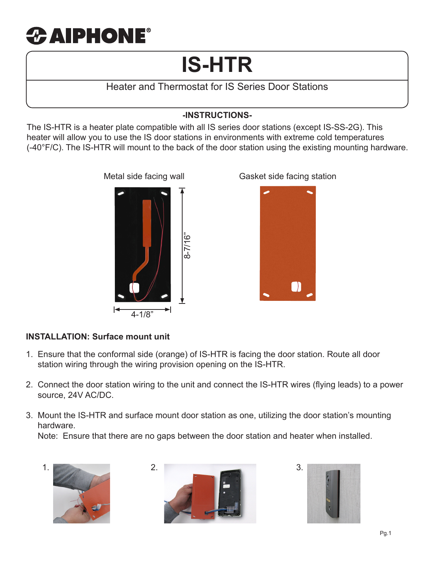# $\boldsymbol{x}$  aiphone®

# **IS-HTR**

Heater and Thermostat for IS Series Door Stations

# **-INSTRUCTIONS-**

The IS-HTR is a heater plate compatible with all IS series door stations (except IS-SS-2G). This heater will allow you to use the IS door stations in environments with extreme cold temperatures (-40°F/C). The IS-HTR will mount to the back of the door station using the existing mounting hardware.



Metal side facing wall Gasket side facing station



#### **INSTALLATION: Surface mount unit**

- 1. Ensure that the conformal side (orange) of IS-HTR is facing the door station. Route all door station wiring through the wiring provision opening on the IS-HTR.
- 2. Connect the door station wiring to the unit and connect the IS-HTR wires (flying leads) to a power source, 24V AC/DC.
- 3. Mount the IS-HTR and surface mount door station as one, utilizing the door station's mounting hardware.

Note: Ensure that there are no gaps between the door station and heater when installed.